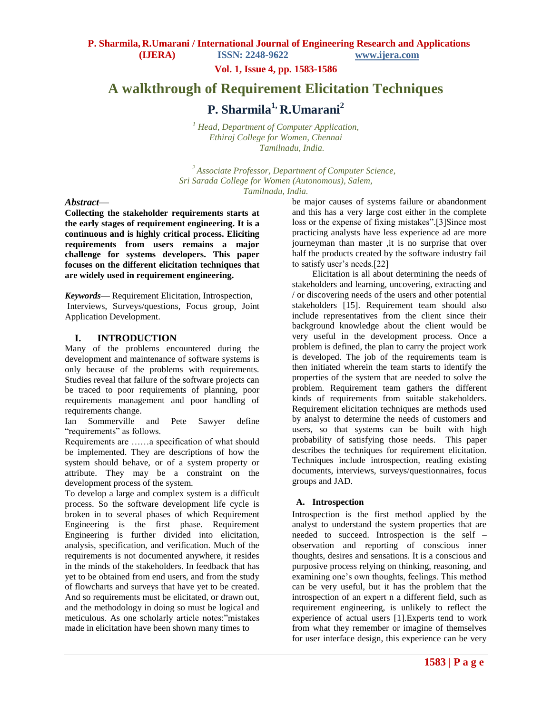**Vol. 1, Issue 4, pp. 1583-1586**

# **A walkthrough of Requirement Elicitation Techniques**

# **P. Sharmila1, R.Umarani<sup>2</sup>**

*<sup>1</sup> Head, Department of Computer Application, Ethiraj College for Women, Chennai Tamilnadu, India.* 

*<sup>2</sup>Associate Professor, Department of Computer Science, Sri Sarada College for Women (Autonomous), Salem, Tamilnadu, India.*

#### *Abstract*—

**Collecting the stakeholder requirements starts at the early stages of requirement engineering. It is a continuous and is highly critical process. Eliciting requirements from users remains a major challenge for systems developers. This paper focuses on the different elicitation techniques that are widely used in requirement engineering.** 

*Keywords*— Requirement Elicitation, Introspection, Interviews, Surveys/questions, Focus group, Joint Application Development.

## **I. INTRODUCTION**

Many of the problems encountered during the development and maintenance of software systems is only because of the problems with requirements. Studies reveal that failure of the software projects can be traced to poor requirements of planning, poor requirements management and poor handling of requirements change.

Ian Sommerville and Pete Sawyer define "requirements" as follows.

Requirements are ……a specification of what should be implemented. They are descriptions of how the system should behave, or of a system property or attribute. They may be a constraint on the development process of the system.

To develop a large and complex system is a difficult process. So the software development life cycle is broken in to several phases of which Requirement Engineering is the first phase. Requirement Engineering is further divided into elicitation, analysis, specification, and verification. Much of the requirements is not documented anywhere, it resides in the minds of the stakeholders. In feedback that has yet to be obtained from end users, and from the study of flowcharts and surveys that have yet to be created. And so requirements must be elicitated, or drawn out, and the methodology in doing so must be logical and meticulous. As one scholarly article notes:"mistakes made in elicitation have been shown many times to

be major causes of systems failure or abandonment and this has a very large cost either in the complete loss or the expense of fixing mistakes".[3]Since most practicing analysts have less experience ad are more journeyman than master ,it is no surprise that over half the products created by the software industry fail to satisfy user's needs.[22]

Elicitation is all about determining the needs of stakeholders and learning, uncovering, extracting and / or discovering needs of the users and other potential stakeholders [15]. Requirement team should also include representatives from the client since their background knowledge about the client would be very useful in the development process. Once a problem is defined, the plan to carry the project work is developed. The job of the requirements team is then initiated wherein the team starts to identify the properties of the system that are needed to solve the problem. Requirement team gathers the different kinds of requirements from suitable stakeholders. Requirement elicitation techniques are methods used by analyst to determine the needs of customers and users, so that systems can be built with high probability of satisfying those needs. This paper describes the techniques for requirement elicitation. Techniques include introspection, reading existing documents, interviews, surveys/questionnaires, focus groups and JAD.

## **A. Introspection**

Introspection is the first method applied by the analyst to understand the system properties that are needed to succeed. Introspection is the self – observation and reporting of conscious inner thoughts, desires and sensations. It is a conscious and purposive process relying on thinking, reasoning, and examining one's own thoughts, feelings. This method can be very useful, but it has the problem that the introspection of an expert n a different field, such as requirement engineering, is unlikely to reflect the experience of actual users [1].Experts tend to work from what they remember or imagine of themselves for user interface design, this experience can be very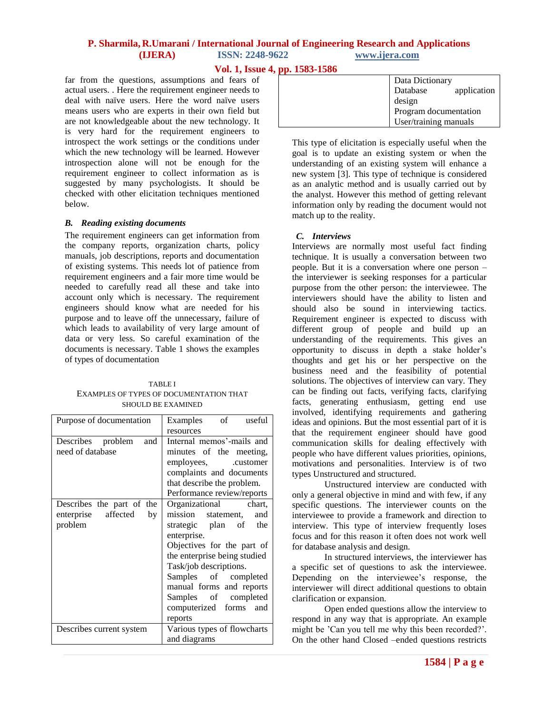# **P. Sharmila, R.Umarani / International Journal of Engineering Research and Applications (IJERA) ISSN: 2248-9622 www.ijera.com**

**Vol. 1, Issue 4, pp. 1583-1586**

far from the questions, assumptions and fears of actual users. . Here the requirement engineer needs to deal with naïve users. Here the word naïve users means users who are experts in their own field but are not knowledgeable about the new technology. It is very hard for the requirement engineers to introspect the work settings or the conditions under which the new technology will be learned. However introspection alone will not be enough for the requirement engineer to collect information as is suggested by many psychologists. It should be checked with other elicitation techniques mentioned below.

## *B. Reading existing documents*

The requirement engineers can get information from the company reports, organization charts, policy manuals, job descriptions, reports and documentation of existing systems. This needs lot of patience from requirement engineers and a fair more time would be needed to carefully read all these and take into account only which is necessary. The requirement engineers should know what are needed for his purpose and to leave off the unnecessary, failure of which leads to availability of very large amount of data or very less. So careful examination of the documents is necessary. Table 1 shows the examples of types of documentation

TABLE I EXAMPLES OF TYPES OF DOCUMENTATION THAT SHOULD BE EXAMINED

| Purpose of documentation  | Examples of useful           |
|---------------------------|------------------------------|
|                           | resources                    |
| Describes problem<br>and  | Internal memos'-mails and    |
| need of database          | minutes of the meeting,      |
|                           | employees, customer          |
|                           | complaints and documents     |
|                           | that describe the problem.   |
|                           | Performance review/reports   |
| Describes the part of the | Organizational chart,        |
| enterprise affected<br>by | mission statement,<br>and    |
| problem                   | strategic plan of the        |
|                           | enterprise.                  |
|                           | Objectives for the part of   |
|                           | the enterprise being studied |
|                           | Task/job descriptions.       |
|                           | Samples of completed         |
|                           | manual forms and reports     |
|                           | Samples of completed         |
|                           | computerized forms and       |
|                           | reports                      |
| Describes current system  | Various types of flowcharts  |
|                           | and diagrams                 |

| Data Dictionary         |
|-------------------------|
| Database<br>application |
| design                  |
| Program documentation   |
| User/training manuals   |

This type of elicitation is especially useful when the goal is to update an existing system or when the understanding of an existing system will enhance a new system [3]. This type of technique is considered as an analytic method and is usually carried out by the analyst. However this method of getting relevant information only by reading the document would not match up to the reality.

## *C. Interviews*

Interviews are normally most useful fact finding technique. It is usually a conversation between two people. But it is a conversation where one person – the interviewer is seeking responses for a particular purpose from the other person: the interviewee. The interviewers should have the ability to listen and should also be sound in interviewing tactics. Requirement engineer is expected to discuss with different group of people and build up an understanding of the requirements. This gives an opportunity to discuss in depth a stake holder's thoughts and get his or her perspective on the business need and the feasibility of potential solutions. The objectives of interview can vary. They can be finding out facts, verifying facts, clarifying facts, generating enthusiasm, getting end use involved, identifying requirements and gathering ideas and opinions. But the most essential part of it is that the requirement engineer should have good communication skills for dealing effectively with people who have different values priorities, opinions, motivations and personalities. Interview is of two types Unstructured and structured.

Unstructured interview are conducted with only a general objective in mind and with few, if any specific questions. The interviewer counts on the interviewee to provide a framework and direction to interview. This type of interview frequently loses focus and for this reason it often does not work well for database analysis and design.

In structured interviews, the interviewer has a specific set of questions to ask the interviewee. Depending on the interviewee's response, the interviewer will direct additional questions to obtain clarification or expansion.

Open ended questions allow the interview to respond in any way that is appropriate. An example might be 'Can you tell me why this been recorded?'. On the other hand Closed –ended questions restricts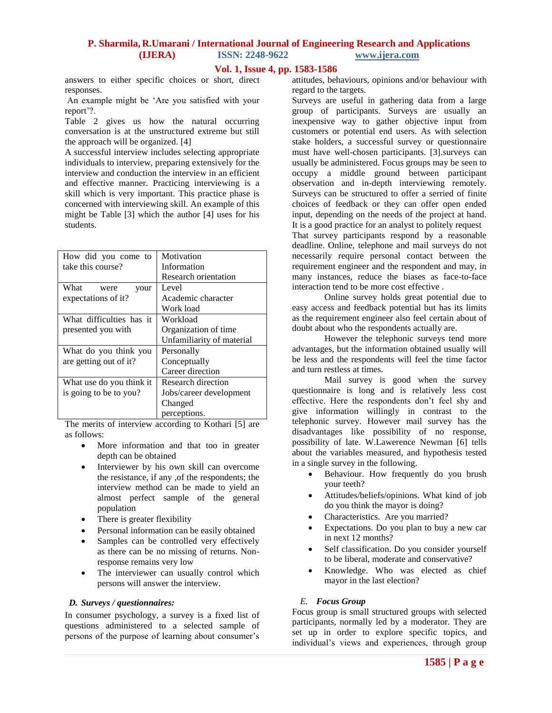# **P. Sharmila, R.Umarani / International Journal of Engineering Research and Applications (IJERA) ISSN: 2248-9622 www.ijera.com**

## **Vol. 1, Issue 4, pp. 1583-1586**

answers to either specific choices or short, direct responses.

An example might be ‗Are you satisfied with your report'?.

Table 2 gives us how the natural occurring conversation is at the unstructured extreme but still the approach will be organized. [4]

A successful interview includes selecting appropriate individuals to interview, preparing extensively for the interview and conduction the interview in an efficient and effective manner. Practicing interviewing is a skill which is very important. This practice phase is concerned with interviewing skill. An example of this might be Table [3] which the author [4] uses for his students.

| How did you come to      | Motivation                |
|--------------------------|---------------------------|
| take this course?        | Information               |
|                          | Research orientation      |
| What<br>were<br>your     | Level                     |
| expectations of it?      | Academic character        |
|                          | Work load                 |
| What difficulties has it | Workload                  |
| presented you with       | Organization of time      |
|                          | Unfamiliarity of material |
| What do you think you    | Personally                |
| are getting out of it?   | Conceptually              |
|                          | Career direction          |
| What use do you think it | Research direction        |
| is going to be to you?   | Jobs/career development   |
|                          | Changed                   |
|                          | perceptions.              |

The merits of interview according to Kothari [5] are as follows:

- More information and that too in greater depth can be obtained
- Interviewer by his own skill can overcome the resistance, if any ,of the respondents; the interview method can be made to yield an almost perfect sample of the general population
- There is greater flexibility
- Personal information can be easily obtained
- Samples can be controlled very effectively as there can be no missing of returns. Nonresponse remains very low
- The interviewer can usually control which persons will answer the interview.

#### *D. Surveys / questionnaires:*

In consumer psychology, a survey is a fixed list of questions administered to a selected sample of persons of the purpose of learning about consumer's attitudes, behaviours, opinions and/or behaviour with regard to the targets.

Surveys are useful in gathering data from a large group of participants. Surveys are usually an inexpensive way to gather objective input from customers or potential end users. As with selection stake holders, a successful survey or questionnaire must have well-chosen participants. [3].surveys can usually be administered. Focus groups may be seen to occupy a middle ground between participant observation and in-depth interviewing remotely. Surveys can be structured to offer a serried of finite choices of feedback or they can offer open ended input, depending on the needs of the project at hand. It is a good practice for an analyst to politely request

That survey participants respond by a reasonable deadline. Online, telephone and mail surveys do not necessarily require personal contact between the requirement engineer and the respondent and may, in many instances, reduce the biases as face-to-face interaction tend to be more cost effective .

Online survey holds great potential due to easy access and feedback potential but has its limits as the requirement engineer also feel certain about of doubt about who the respondents actually are.

However the telephonic surveys tend more advantages, but the information obtained usually will be less and the respondents will feel the time factor and turn restless at times.

Mail survey is good when the survey questionnaire is long and is relatively less cost effective. Here the respondents don't feel shy and give information willingly in contrast to the telephonic survey. However mail survey has the disadvantages like possibility of no response, possibility of late. W.Lawerence Newman [6] tells about the variables measured, and hypothesis tested in a single survey in the following.

- Behaviour. How frequently do you brush your teeth?
- Attitudes/beliefs/opinions. What kind of job do you think the mayor is doing?
- Characteristics. Are you married?
- Expectations. Do you plan to buy a new car in next 12 months?
- Self classification. Do you consider yourself to be liberal, moderate and conservative?
- Knowledge. Who was elected as chief mayor in the last election?

## *E. Focus Group*

Focus group is small structured groups with selected participants, normally led by a moderator. They are set up in order to explore specific topics, and individual's views and experiences, through group